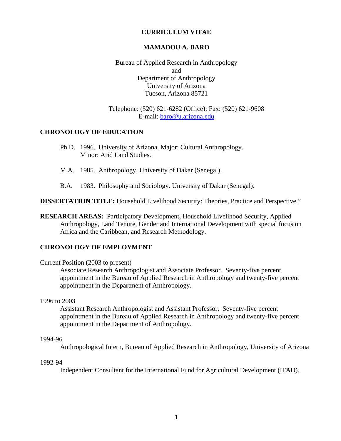### **CURRICULUM VITAE**

#### **MAMADOU A. BARO**

Bureau of Applied Research in Anthropology and Department of Anthropology University of Arizona Tucson, Arizona 85721

#### Telephone: (520) 621-6282 (Office); Fax: (520) 621-9608 E-mail: baro@u.arizona.edu

### **CHRONOLOGY OF EDUCATION**

- Ph.D. 1996. University of Arizona. Major: Cultural Anthropology. Minor: Arid Land Studies.
- M.A. 1985. Anthropology. University of Dakar (Senegal).
- B.A. 1983. Philosophy and Sociology. University of Dakar (Senegal).

**DISSERTATION TITLE:** Household Livelihood Security: Theories, Practice and Perspective."

**RESEARCH AREAS:** Participatory Development, Household Livelihood Security, Applied Anthropology, Land Tenure, Gender and International Development with special focus on Africa and the Caribbean, and Research Methodology.

### **CHRONOLOGY OF EMPLOYMENT**

#### Current Position (2003 to present)

 Associate Research Anthropologist and Associate Professor. Seventy-five percent appointment in the Bureau of Applied Research in Anthropology and twenty-five percent appointment in the Department of Anthropology.

#### 1996 to 2003

Assistant Research Anthropologist and Assistant Professor. Seventy-five percent appointment in the Bureau of Applied Research in Anthropology and twenty-five percent appointment in the Department of Anthropology.

#### 1994-96

Anthropological Intern, Bureau of Applied Research in Anthropology, University of Arizona

### 1992-94

Independent Consultant for the International Fund for Agricultural Development (IFAD).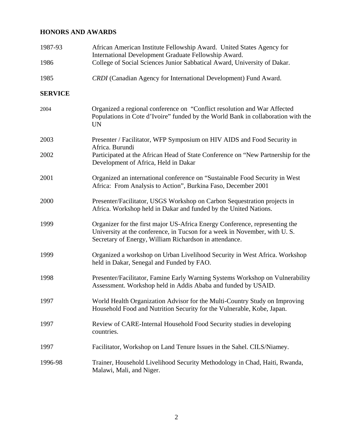# **HONORS AND AWARDS**

| 1987-93        | African American Institute Fellowship Award. United States Agency for<br>International Development Graduate Fellowship Award.                                                                                      |
|----------------|--------------------------------------------------------------------------------------------------------------------------------------------------------------------------------------------------------------------|
| 1986           | College of Social Sciences Junior Sabbatical Award, University of Dakar.                                                                                                                                           |
| 1985           | CRDI (Canadian Agency for International Development) Fund Award.                                                                                                                                                   |
| <b>SERVICE</b> |                                                                                                                                                                                                                    |
| 2004           | Organized a regional conference on "Conflict resolution and War Affected<br>Populations in Cote d'Ivoire" funded by the World Bank in collaboration with the<br><b>UN</b>                                          |
| 2003           | Presenter / Facilitator, WFP Symposium on HIV AIDS and Food Security in<br>Africa. Burundi                                                                                                                         |
| 2002           | Participated at the African Head of State Conference on "New Partnership for the<br>Development of Africa, Held in Dakar                                                                                           |
| 2001           | Organized an international conference on "Sustainable Food Security in West<br>Africa: From Analysis to Action", Burkina Faso, December 2001                                                                       |
| 2000           | Presenter/Facilitator, USGS Workshop on Carbon Sequestration projects in<br>Africa. Workshop held in Dakar and funded by the United Nations.                                                                       |
| 1999           | Organizer for the first major US-Africa Energy Conference, representing the<br>University at the conference, in Tucson for a week in November, with U.S.<br>Secretary of Energy, William Richardson in attendance. |
| 1999           | Organized a workshop on Urban Livelihood Security in West Africa. Workshop<br>held in Dakar, Senegal and Funded by FAO.                                                                                            |
| 1998           | Presenter/Facilitator, Famine Early Warning Systems Workshop on Vulnerability<br>Assessment. Workshop held in Addis Ababa and funded by USAID.                                                                     |
| 1997           | World Health Organization Advisor for the Multi-Country Study on Improving<br>Household Food and Nutrition Security for the Vulnerable, Kobe, Japan.                                                               |
| 1997           | Review of CARE-Internal Household Food Security studies in developing<br>countries.                                                                                                                                |
| 1997           | Facilitator, Workshop on Land Tenure Issues in the Sahel. CILS/Niamey.                                                                                                                                             |
| 1996-98        | Trainer, Household Livelihood Security Methodology in Chad, Haiti, Rwanda,<br>Malawi, Mali, and Niger.                                                                                                             |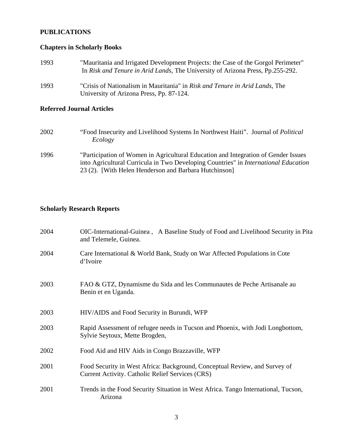# **PUBLICATIONS**

# **Chapters in Scholarly Books**

| 1993 | "Mauritania and Irrigated Development Projects: the Case of the Gorgol Perimeter"<br>In Risk and Tenure in Arid Lands, The University of Arizona Press, Pp.255-292. |
|------|---------------------------------------------------------------------------------------------------------------------------------------------------------------------|
| 1993 | "Crisis of Nationalism in Mauritania" in Risk and Tenure in Arid Lands, The<br>University of Arizona Press, Pp. 87-124.                                             |

# **Referred Journal Articles**

| 2002 | "Food Insecurity and Livelihood Systems In Northwest Haiti". Journal of <i>Political</i><br>Ecology                                                                              |
|------|----------------------------------------------------------------------------------------------------------------------------------------------------------------------------------|
| 1996 | "Participation of Women in Agricultural Education and Integration of Gender Issues<br>into Agricultural Curricula in Two Developing Countries" in <i>International Education</i> |
|      | 23 (2). [With Helen Henderson and Barbara Hutchinson]                                                                                                                            |

# **Scholarly Research Reports**

| 2004 | OIC-International-Guinea, A Baseline Study of Food and Livelihood Security in Pita<br>and Telemele, Guinea.                           |
|------|---------------------------------------------------------------------------------------------------------------------------------------|
| 2004 | Care International & World Bank, Study on War Affected Populations in Cote<br>d'Ivoire                                                |
| 2003 | FAO & GTZ, Dynamisme du Sida and les Communautes de Peche Artisanale au<br>Benin et en Uganda.                                        |
| 2003 | HIV/AIDS and Food Security in Burundi, WFP                                                                                            |
| 2003 | Rapid Assessment of refugee needs in Tucson and Phoenix, with Jodi Longbottom,<br>Sylvie Seytoux, Mette Brogden,                      |
| 2002 | Food Aid and HIV Aids in Congo Brazzaville, WFP                                                                                       |
| 2001 | Food Security in West Africa: Background, Conceptual Review, and Survey of<br><b>Current Activity. Catholic Relief Services (CRS)</b> |
| 2001 | Trends in the Food Security Situation in West Africa. Tango International, Tucson,<br>Arizona                                         |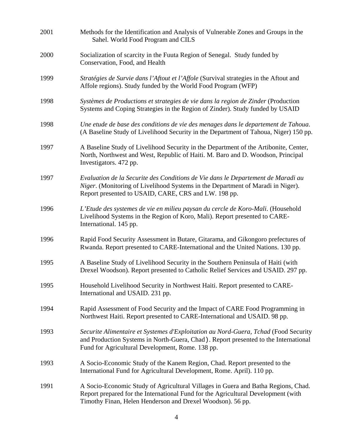| 2001 | Methods for the Identification and Analysis of Vulnerable Zones and Groups in the<br>Sahel. World Food Program and CILS                                                                                                              |
|------|--------------------------------------------------------------------------------------------------------------------------------------------------------------------------------------------------------------------------------------|
| 2000 | Socialization of scarcity in the Fuuta Region of Senegal. Study funded by<br>Conservation, Food, and Health                                                                                                                          |
| 1999 | Stratégies de Survie dans l'Aftout et l'Affole (Survival strategies in the Aftout and<br>Affole regions). Study funded by the World Food Program (WFP)                                                                               |
| 1998 | Systèmes de Productions et strategies de vie dans la region de Zinder (Production<br>Systems and Coping Strategies in the Region of Zinder). Study funded by USAID                                                                   |
| 1998 | Une etude de base des conditions de vie des menages dans le departement de Tahoua.<br>(A Baseline Study of Livelihood Security in the Department of Tahoua, Niger) 150 pp.                                                           |
| 1997 | A Baseline Study of Livelihood Security in the Department of the Artibonite, Center,<br>North, Northwest and West, Republic of Haiti. M. Baro and D. Woodson, Principal<br>Investigators. 472 pp.                                    |
| 1997 | Evaluation de la Securite des Conditions de Vie dans le Departement de Maradi au<br>Niger. (Monitoring of Livelihood Systems in the Department of Maradi in Niger).<br>Report presented to USAID, CARE, CRS and LW. 198 pp.          |
| 1996 | L'Etude des systemes de vie en milieu paysan du cercle de Koro-Mali. (Household<br>Livelihood Systems in the Region of Koro, Mali). Report presented to CARE-<br>International. 145 pp.                                              |
| 1996 | Rapid Food Security Assessment in Butare, Gitarama, and Gikongoro prefectures of<br>Rwanda. Report presented to CARE-International and the United Nations. 130 pp.                                                                   |
| 1995 | A Baseline Study of Livelihood Security in the Southern Peninsula of Haiti (with<br>Drexel Woodson). Report presented to Catholic Relief Services and USAID. 297 pp.                                                                 |
| 1995 | Household Livelihood Security in Northwest Haiti. Report presented to CARE-<br>International and USAID. 231 pp.                                                                                                                      |
| 1994 | Rapid Assessment of Food Security and the Impact of CARE Food Programming in<br>Northwest Haiti. Report presented to CARE-International and USAID. 98 pp.                                                                            |
| 1993 | Securite Alimentaire et Systemes d'Exploitation au Nord-Guera, Tchad (Food Security<br>and Production Systems in North-Guera, Chad). Report presented to the International<br>Fund for Agricultural Development, Rome. 138 pp.       |
| 1993 | A Socio-Economic Study of the Kanem Region, Chad. Report presented to the<br>International Fund for Agricultural Development, Rome. April). 110 pp.                                                                                  |
| 1991 | A Socio-Economic Study of Agricultural Villages in Guera and Batha Regions, Chad.<br>Report prepared for the International Fund for the Agricultural Development (with<br>Timothy Finan, Helen Henderson and Drexel Woodson). 56 pp. |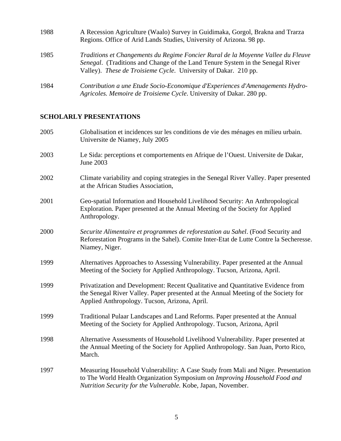| 1988 | A Recession Agriculture (Waalo) Survey in Guidimaka, Gorgol, Brakna and Trarza<br>Regions. Office of Arid Lands Studies, University of Arizona. 98 pp.                                                                                |
|------|---------------------------------------------------------------------------------------------------------------------------------------------------------------------------------------------------------------------------------------|
| 1985 | Traditions et Changements du Regime Foncier Rural de la Moyenne Vallee du Fleuve<br>Senegal. (Traditions and Change of the Land Tenure System in the Senegal River<br>Valley). These de Troisieme Cycle. University of Dakar. 210 pp. |
| 1984 | Contribution a une Etude Socio-Economique d'Experiences d'Amenagements Hydro-<br>Agricoles. Memoire de Troisieme Cycle. University of Dakar. 280 pp.                                                                                  |

# **SCHOLARLY PRESENTATIONS**

| 2005 | Globalisation et incidences sur les conditions de vie des ménages en milieu urbain.<br>Universite de Niamey, July 2005                                                                                                           |
|------|----------------------------------------------------------------------------------------------------------------------------------------------------------------------------------------------------------------------------------|
| 2003 | Le Sida: perceptions et comportements en Afrique de l'Ouest. Universite de Dakar,<br>June 2003                                                                                                                                   |
| 2002 | Climate variability and coping strategies in the Senegal River Valley. Paper presented<br>at the African Studies Association,                                                                                                    |
| 2001 | Geo-spatial Information and Household Livelihood Security: An Anthropological<br>Exploration. Paper presented at the Annual Meeting of the Society for Applied<br>Anthropology.                                                  |
| 2000 | Securite Alimentaire et programmes de reforestation au Sahel. (Food Security and<br>Reforestation Programs in the Sahel). Comite Inter-Etat de Lutte Contre la Secheresse.<br>Niamey, Niger.                                     |
| 1999 | Alternatives Approaches to Assessing Vulnerability. Paper presented at the Annual<br>Meeting of the Society for Applied Anthropology. Tucson, Arizona, April.                                                                    |
| 1999 | Privatization and Development: Recent Qualitative and Quantitative Evidence from<br>the Senegal River Valley. Paper presented at the Annual Meeting of the Society for<br>Applied Anthropology. Tucson, Arizona, April.          |
| 1999 | Traditional Pulaar Landscapes and Land Reforms. Paper presented at the Annual<br>Meeting of the Society for Applied Anthropology. Tucson, Arizona, April                                                                         |
| 1998 | Alternative Assessments of Household Livelihood Vulnerability. Paper presented at<br>the Annual Meeting of the Society for Applied Anthropology. San Juan, Porto Rico,<br>March.                                                 |
| 1997 | Measuring Household Vulnerability: A Case Study from Mali and Niger. Presentation<br>to The World Health Organization Symposium on Improving Household Food and<br>Nutrition Security for the Vulnerable. Kobe, Japan, November. |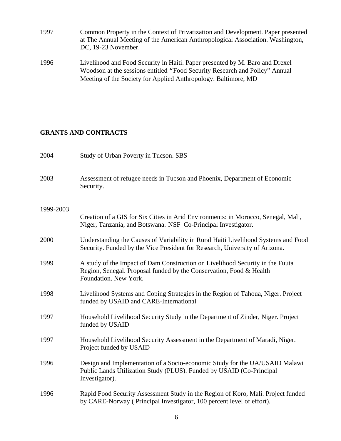- 1997 Common Property in the Context of Privatization and Development. Paper presented at The Annual Meeting of the American Anthropological Association. Washington, DC, 19-23 November.
- 1996 Livelihood and Food Security in Haiti. Paper presented by M. Baro and Drexel Woodson at the sessions entitled "Food Security Research and Policy" Annual Meeting of the Society for Applied Anthropology. Baltimore, MD

### **GRANTS AND CONTRACTS**

| 2004      | Study of Urban Poverty in Tucson. SBS                                                                                                                                         |
|-----------|-------------------------------------------------------------------------------------------------------------------------------------------------------------------------------|
| 2003      | Assessment of refugee needs in Tucson and Phoenix, Department of Economic<br>Security.                                                                                        |
| 1999-2003 | Creation of a GIS for Six Cities in Arid Environments: in Morocco, Senegal, Mali,<br>Niger, Tanzania, and Botswana. NSF Co-Principal Investigator.                            |
| 2000      | Understanding the Causes of Variability in Rural Haiti Livelihood Systems and Food<br>Security. Funded by the Vice President for Research, University of Arizona.             |
| 1999      | A study of the Impact of Dam Construction on Livelihood Security in the Fuuta<br>Region, Senegal. Proposal funded by the Conservation, Food & Health<br>Foundation. New York. |
| 1998      | Livelihood Systems and Coping Strategies in the Region of Tahoua, Niger. Project<br>funded by USAID and CARE-International                                                    |
| 1997      | Household Livelihood Security Study in the Department of Zinder, Niger. Project<br>funded by USAID                                                                            |
| 1997      | Household Livelihood Security Assessment in the Department of Maradi, Niger.<br>Project funded by USAID                                                                       |
| 1996      | Design and Implementation of a Socio-economic Study for the UA/USAID Malawi<br>Public Lands Utilization Study (PLUS). Funded by USAID (Co-Principal<br>Investigator).         |
| 1996      | Rapid Food Security Assessment Study in the Region of Koro, Mali. Project funded<br>by CARE-Norway (Principal Investigator, 100 percent level of effort).                     |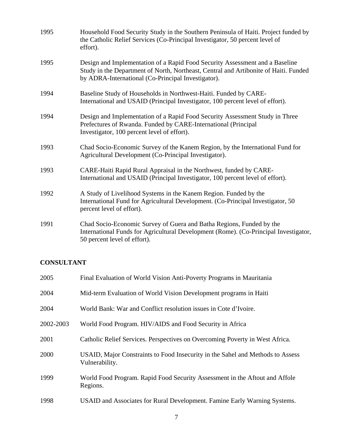| 1995 | Household Food Security Study in the Southern Peninsula of Haiti. Project funded by<br>the Catholic Relief Services (Co-Principal Investigator, 50 percent level of<br>effort).                                            |
|------|----------------------------------------------------------------------------------------------------------------------------------------------------------------------------------------------------------------------------|
| 1995 | Design and Implementation of a Rapid Food Security Assessment and a Baseline<br>Study in the Department of North, Northeast, Central and Artibonite of Haiti. Funded<br>by ADRA-International (Co-Principal Investigator). |
| 1994 | Baseline Study of Households in Northwest-Haiti. Funded by CARE-<br>International and USAID (Principal Investigator, 100 percent level of effort).                                                                         |
| 1994 | Design and Implementation of a Rapid Food Security Assessment Study in Three<br>Prefectures of Rwanda. Funded by CARE-International (Principal<br>Investigator, 100 percent level of effort).                              |
| 1993 | Chad Socio-Economic Survey of the Kanem Region, by the International Fund for<br>Agricultural Development (Co-Principal Investigator).                                                                                     |
| 1993 | CARE-Haiti Rapid Rural Appraisal in the Northwest, funded by CARE-<br>International and USAID (Principal Investigator, 100 percent level of effort).                                                                       |
| 1992 | A Study of Livelihood Systems in the Kanem Region. Funded by the<br>International Fund for Agricultural Development. (Co-Principal Investigator, 50<br>percent level of effort).                                           |
| 1991 | Chad Socio-Economic Survey of Guera and Batha Regions, Funded by the<br>International Funds for Agricultural Development (Rome). (Co-Principal Investigator,<br>50 percent level of effort).                               |

### **CONSULTANT**

| 2005      | Final Evaluation of World Vision Anti-Poverty Programs in Mauritania                             |
|-----------|--------------------------------------------------------------------------------------------------|
| 2004      | Mid-term Evaluation of World Vision Development programs in Haiti                                |
| 2004      | World Bank: War and Conflict resolution issues in Cote d'Ivoire.                                 |
| 2002-2003 | World Food Program. HIV/AIDS and Food Security in Africa                                         |
| 2001      | Catholic Relief Services. Perspectives on Overcoming Poverty in West Africa.                     |
| 2000      | USAID, Major Constraints to Food Insecurity in the Sahel and Methods to Assess<br>Vulnerability. |
| 1999      | World Food Program. Rapid Food Security Assessment in the Aftout and Affole<br>Regions.          |
| 1998      | USAID and Associates for Rural Development. Famine Early Warning Systems.                        |